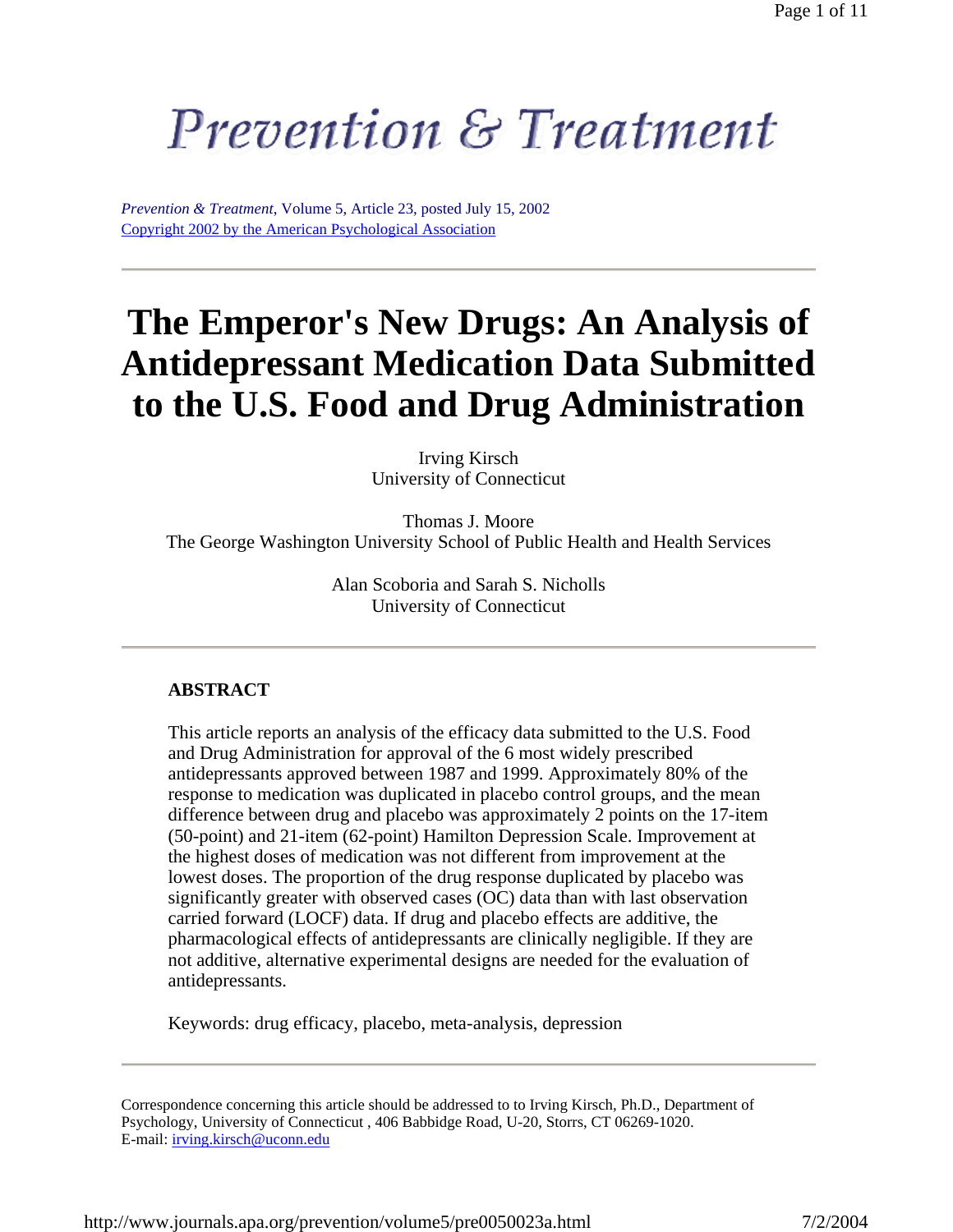# **Prevention & Treatment**

*Prevention & Treatment*, Volume 5, Article 23, posted July 15, 2002 Copyright 2002 by the American Psychological Association

## **The Emperor's New Drugs: An Analysis of Antidepressant Medication Data Submitted to the U.S. Food and Drug Administration**

Irving Kirsch University of Connecticut

Thomas J. Moore The George Washington University School of Public Health and Health Services

> Alan Scoboria and Sarah S. Nicholls University of Connecticut

#### **ABSTRACT**

This article reports an analysis of the efficacy data submitted to the U.S. Food and Drug Administration for approval of the 6 most widely prescribed antidepressants approved between 1987 and 1999. Approximately 80% of the response to medication was duplicated in placebo control groups, and the mean difference between drug and placebo was approximately 2 points on the 17-item (50-point) and 21-item (62-point) Hamilton Depression Scale. Improvement at the highest doses of medication was not different from improvement at the lowest doses. The proportion of the drug response duplicated by placebo was significantly greater with observed cases (OC) data than with last observation carried forward (LOCF) data. If drug and placebo effects are additive, the pharmacological effects of antidepressants are clinically negligible. If they are not additive, alternative experimental designs are needed for the evaluation of antidepressants.

Keywords: drug efficacy, placebo, meta-analysis, depression

Correspondence concerning this article should be addressed to to Irving Kirsch, Ph.D., Department of Psychology, University of Connecticut , 406 Babbidge Road, U-20, Storrs, CT 06269-1020. E-mail: irving.kirsch@uconn.edu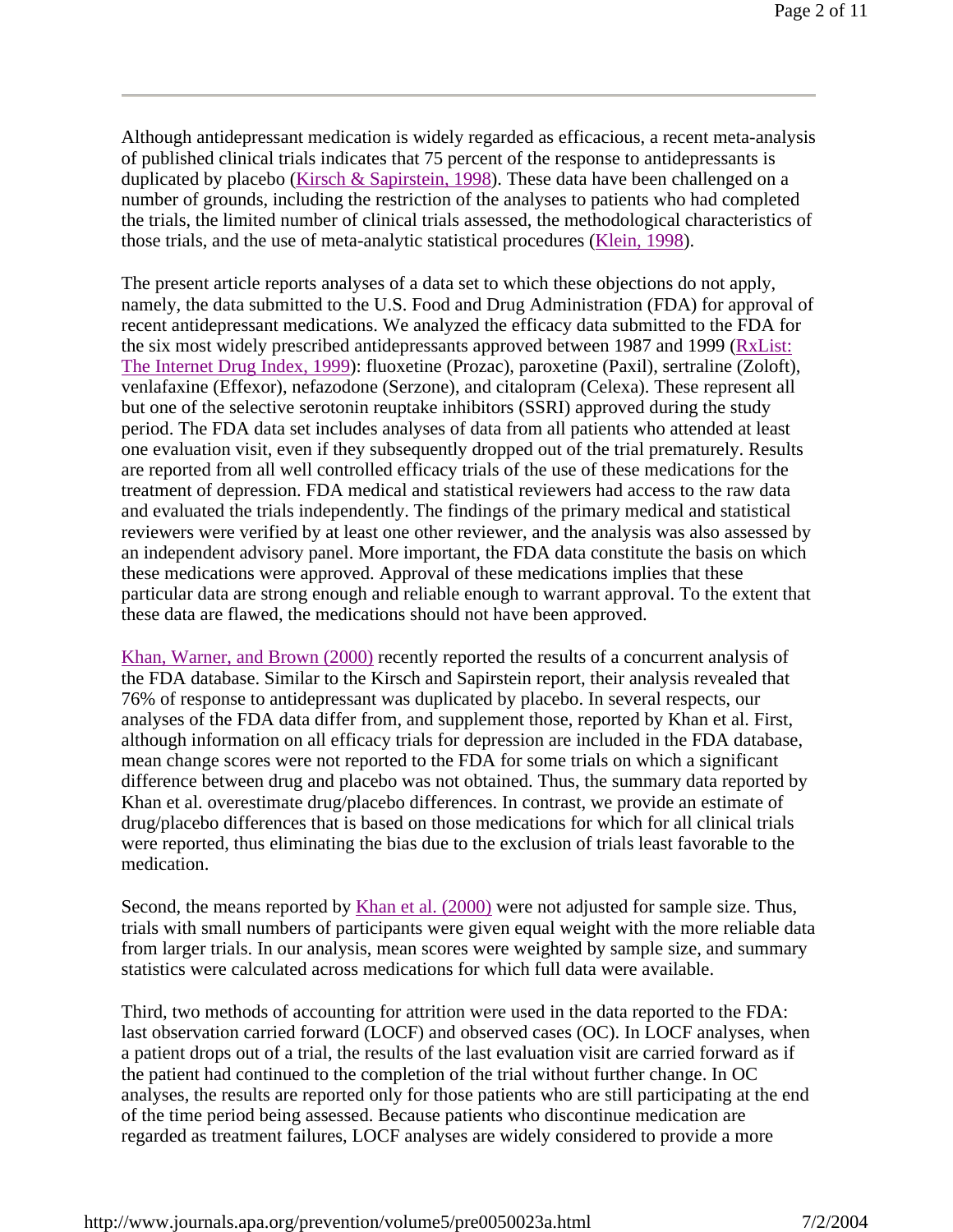Although antidepressant medication is widely regarded as efficacious, a recent meta-analysis of published clinical trials indicates that 75 percent of the response to antidepressants is duplicated by placebo (Kirsch & Sapirstein, 1998). These data have been challenged on a number of grounds, including the restriction of the analyses to patients who had completed the trials, the limited number of clinical trials assessed, the methodological characteristics of those trials, and the use of meta-analytic statistical procedures (Klein, 1998).

The present article reports analyses of a data set to which these objections do not apply, namely, the data submitted to the U.S. Food and Drug Administration (FDA) for approval of recent antidepressant medications. We analyzed the efficacy data submitted to the FDA for the six most widely prescribed antidepressants approved between 1987 and 1999 (RxList: The Internet Drug Index, 1999): fluoxetine (Prozac), paroxetine (Paxil), sertraline (Zoloft), venlafaxine (Effexor), nefazodone (Serzone), and citalopram (Celexa). These represent all but one of the selective serotonin reuptake inhibitors (SSRI) approved during the study period. The FDA data set includes analyses of data from all patients who attended at least one evaluation visit, even if they subsequently dropped out of the trial prematurely. Results are reported from all well controlled efficacy trials of the use of these medications for the treatment of depression. FDA medical and statistical reviewers had access to the raw data and evaluated the trials independently. The findings of the primary medical and statistical reviewers were verified by at least one other reviewer, and the analysis was also assessed by an independent advisory panel. More important, the FDA data constitute the basis on which these medications were approved. Approval of these medications implies that these particular data are strong enough and reliable enough to warrant approval. To the extent that these data are flawed, the medications should not have been approved.

Khan, Warner, and Brown (2000) recently reported the results of a concurrent analysis of the FDA database. Similar to the Kirsch and Sapirstein report, their analysis revealed that 76% of response to antidepressant was duplicated by placebo. In several respects, our analyses of the FDA data differ from, and supplement those, reported by Khan et al. First, although information on all efficacy trials for depression are included in the FDA database, mean change scores were not reported to the FDA for some trials on which a significant difference between drug and placebo was not obtained. Thus, the summary data reported by Khan et al. overestimate drug/placebo differences. In contrast, we provide an estimate of drug/placebo differences that is based on those medications for which for all clinical trials were reported, thus eliminating the bias due to the exclusion of trials least favorable to the medication.

Second, the means reported by Khan et al. (2000) were not adjusted for sample size. Thus, trials with small numbers of participants were given equal weight with the more reliable data from larger trials. In our analysis, mean scores were weighted by sample size, and summary statistics were calculated across medications for which full data were available.

Third, two methods of accounting for attrition were used in the data reported to the FDA: last observation carried forward (LOCF) and observed cases (OC). In LOCF analyses, when a patient drops out of a trial, the results of the last evaluation visit are carried forward as if the patient had continued to the completion of the trial without further change. In OC analyses, the results are reported only for those patients who are still participating at the end of the time period being assessed. Because patients who discontinue medication are regarded as treatment failures, LOCF analyses are widely considered to provide a more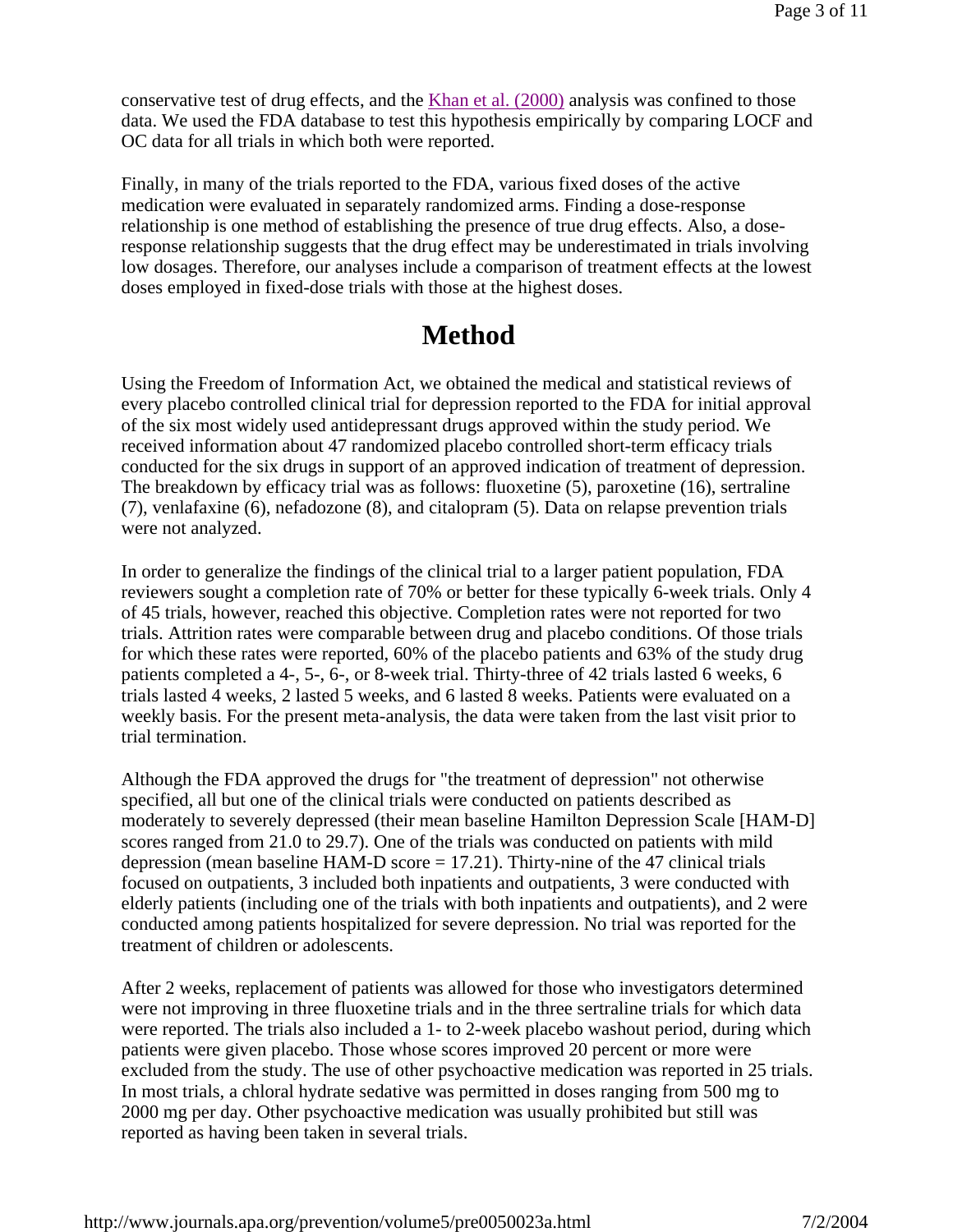conservative test of drug effects, and the Khan et al. (2000) analysis was confined to those data. We used the FDA database to test this hypothesis empirically by comparing LOCF and OC data for all trials in which both were reported.

Finally, in many of the trials reported to the FDA, various fixed doses of the active medication were evaluated in separately randomized arms. Finding a dose-response relationship is one method of establishing the presence of true drug effects. Also, a doseresponse relationship suggests that the drug effect may be underestimated in trials involving low dosages. Therefore, our analyses include a comparison of treatment effects at the lowest doses employed in fixed-dose trials with those at the highest doses.

### **Method**

Using the Freedom of Information Act, we obtained the medical and statistical reviews of every placebo controlled clinical trial for depression reported to the FDA for initial approval of the six most widely used antidepressant drugs approved within the study period. We received information about 47 randomized placebo controlled short-term efficacy trials conducted for the six drugs in support of an approved indication of treatment of depression. The breakdown by efficacy trial was as follows: fluoxetine (5), paroxetine (16), sertraline (7), venlafaxine (6), nefadozone (8), and citalopram (5). Data on relapse prevention trials were not analyzed.

In order to generalize the findings of the clinical trial to a larger patient population, FDA reviewers sought a completion rate of 70% or better for these typically 6-week trials. Only 4 of 45 trials, however, reached this objective. Completion rates were not reported for two trials. Attrition rates were comparable between drug and placebo conditions. Of those trials for which these rates were reported, 60% of the placebo patients and 63% of the study drug patients completed a 4-, 5-, 6-, or 8-week trial. Thirty-three of 42 trials lasted 6 weeks, 6 trials lasted 4 weeks, 2 lasted 5 weeks, and 6 lasted 8 weeks. Patients were evaluated on a weekly basis. For the present meta-analysis, the data were taken from the last visit prior to trial termination.

Although the FDA approved the drugs for "the treatment of depression" not otherwise specified, all but one of the clinical trials were conducted on patients described as moderately to severely depressed (their mean baseline Hamilton Depression Scale [HAM-D] scores ranged from 21.0 to 29.7). One of the trials was conducted on patients with mild depression (mean baseline HAM-D score = 17.21). Thirty-nine of the 47 clinical trials focused on outpatients, 3 included both inpatients and outpatients, 3 were conducted with elderly patients (including one of the trials with both inpatients and outpatients), and 2 were conducted among patients hospitalized for severe depression. No trial was reported for the treatment of children or adolescents.

After 2 weeks, replacement of patients was allowed for those who investigators determined were not improving in three fluoxetine trials and in the three sertraline trials for which data were reported. The trials also included a 1- to 2-week placebo washout period, during which patients were given placebo. Those whose scores improved 20 percent or more were excluded from the study. The use of other psychoactive medication was reported in 25 trials. In most trials, a chloral hydrate sedative was permitted in doses ranging from 500 mg to 2000 mg per day. Other psychoactive medication was usually prohibited but still was reported as having been taken in several trials.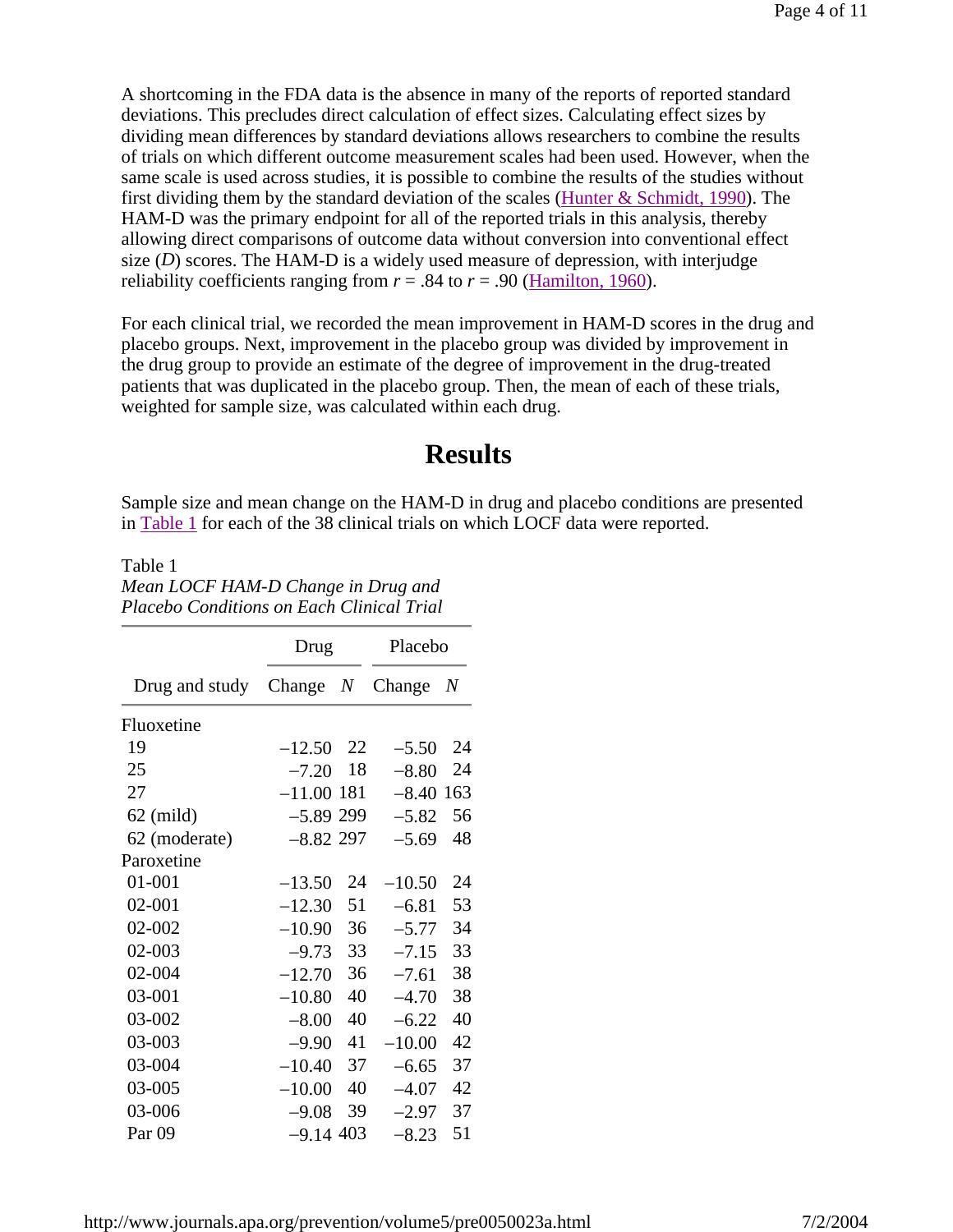A shortcoming in the FDA data is the absence in many of the reports of reported standard deviations. This precludes direct calculation of effect sizes. Calculating effect sizes by dividing mean differences by standard deviations allows researchers to combine the results of trials on which different outcome measurement scales had been used. However, when the same scale is used across studies, it is possible to combine the results of the studies without first dividing them by the standard deviation of the scales (Hunter & Schmidt, 1990). The HAM-D was the primary endpoint for all of the reported trials in this analysis, thereby allowing direct comparisons of outcome data without conversion into conventional effect size (*D*) scores. The HAM-D is a widely used measure of depression, with interjudge reliability coefficients ranging from  $r = .84$  to  $r = .90$  (Hamilton, 1960).

For each clinical trial, we recorded the mean improvement in HAM-D scores in the drug and placebo groups. Next, improvement in the placebo group was divided by improvement in the drug group to provide an estimate of the degree of improvement in the drug-treated patients that was duplicated in the placebo group. Then, the mean of each of these trials, weighted for sample size, was calculated within each drug.

#### **Results**

Sample size and mean change on the HAM-D in drug and placebo conditions are presented in Table 1 for each of the 38 clinical trials on which LOCF data were reported.

Table 1 *Mean LOCF HAM-D Change in Drug and Placebo Conditions on Each Clinical Trial*

|                   | Drug        |     | Placebo  |                  |
|-------------------|-------------|-----|----------|------------------|
| Drug and study    | Change $N$  |     | Change   | $\boldsymbol{N}$ |
| Fluoxetine        |             |     |          |                  |
| 19                | $-12.50$    | 22  | $-5.50$  | 24               |
| 25                | $-7.20$     | 18  | $-8.80$  | 24               |
| 27                | $-11.00$    | 181 | $-8.40$  | 163              |
| $62 \pmod{6}$     | $-5.89$ 299 |     | $-5.82$  | 56               |
| 62 (moderate)     | $-8.82297$  |     | $-5.69$  | 48               |
| Paroxetine        |             |     |          |                  |
| 01-001            | $-13.50$    | 24  | $-10.50$ | 24               |
| 02-001            | $-12.30$    | 51  | $-6.81$  | 53               |
| 02-002            | $-10.90$    | 36  | $-5.77$  | 34               |
| 02-003            | $-9.73$     | 33  | $-7.15$  | 33               |
| 02-004            | $-12.70$    | 36  | $-7.61$  | 38               |
| 03-001            | $-10.80$    | 40  | $-4.70$  | 38               |
| 03-002            | $-8.00$     | 40  | $-6.22$  | 40               |
| 03-003            | $-9.90$     | 41  | $-10.00$ | 42               |
| 03-004            | $-10.40$    | 37  | $-6.65$  | 37               |
| 03-005            | $-10.00$    | 40  | $-4.07$  | 42               |
| 03-006            | $-9.08$     | 39  | $-2.97$  | 37               |
| Par <sub>09</sub> | $-9.14$ 403 |     | $-8.23$  | 51               |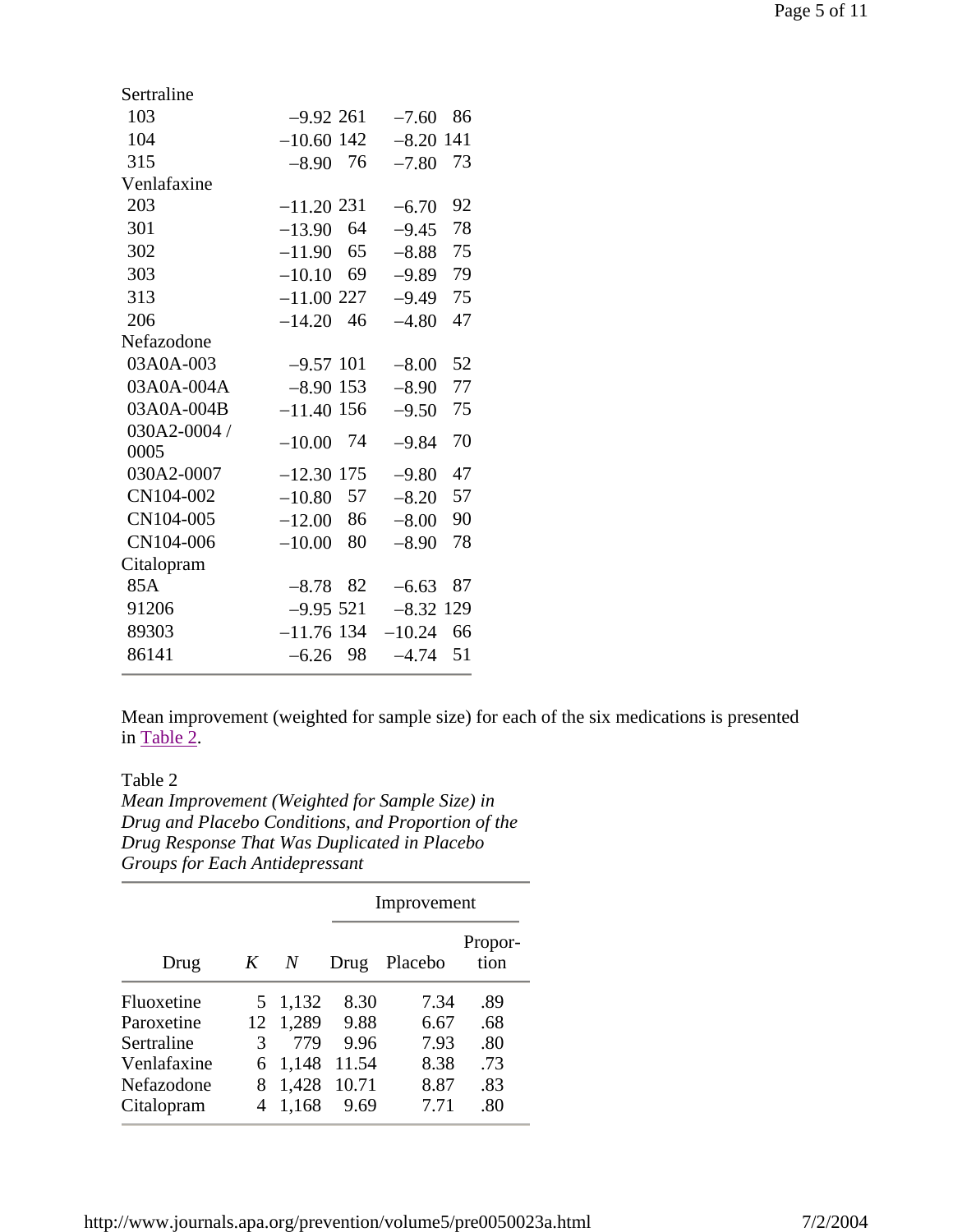| Sertraline   |                 |                |
|--------------|-----------------|----------------|
| 103          | $-9.92261$      | 86<br>$-7.60$  |
| 104          | $-10.60$ 142    | 141<br>$-8.20$ |
| 315          | $-8.90$<br>- 76 | 73<br>$-7.80$  |
| Venlafaxine  |                 |                |
| 203          | $-11.20231$     | 92<br>$-6.70$  |
| 301          | $-13.90$<br>64  | 78<br>$-9.45$  |
| 302          | 65<br>$-11.90$  | 75<br>$-8.88$  |
| 303          | $-10.10$<br>69  | 79<br>$-9.89$  |
| 313          | $-11.00227$     | 75<br>$-9.49$  |
| 206          | 46<br>$-14.20$  | 47<br>$-4.80$  |
| Nefazodone   |                 |                |
| 03A0A-003    | $-9.57$ 101     | 52<br>$-8.00$  |
| 03A0A-004A   | $-8.90$<br>153  | 77<br>$-8.90$  |
| 03A0A-004B   | $-11.40$ 156    | 75<br>$-9.50$  |
| 030A2-0004 / | 74<br>$-10.00$  | 70<br>$-9.84$  |
| 0005         |                 |                |
| 030A2-0007   | 175<br>$-12.30$ | 47<br>$-9.80$  |
| CN104-002    | 57<br>$-10.80$  | 57<br>$-8.20$  |
| CN104-005    | 86<br>$-12.00$  | 90<br>$-8.00$  |
| CN104-006    | $-10.00$<br>80  | 78<br>$-8.90$  |
| Citalopram   |                 |                |
| 85A          | 82<br>$-8.78$   | 87<br>$-6.63$  |
| 91206        | $-9.95521$      | 129<br>$-8.32$ |
| 89303        | $-11.76$ 134    | 66<br>$-10.24$ |
| 86141        | 98<br>$-6.26$   | $-4.74$<br>51  |
|              |                 |                |

Mean improvement (weighted for sample size) for each of the six medications is presented in Table 2.

Table 2

*Mean Improvement (Weighted for Sample Size) in Drug and Placebo Conditions, and Proportion of the Drug Response That Was Duplicated in Placebo Groups for Each Antidepressant*

|             |    |       |       | Improvement |                 |
|-------------|----|-------|-------|-------------|-----------------|
| Drug        | K  | N     | Drug  | Placebo     | Propor-<br>tion |
| Fluoxetine  | 5  | 1,132 | 8.30  | 7.34        | .89             |
| Paroxetine  | 12 | 1,289 | 9.88  | 6.67        | .68             |
| Sertraline  | 3  | 779   | 9.96  | 7.93        | .80             |
| Venlafaxine | 6  | 1,148 | 11.54 | 8.38        | .73             |
| Nefazodone  | 8  | 1,428 | 10.71 | 8.87        | .83             |
| Citalopram  | 4  | 1,168 | 9.69  | 7.71        | .80             |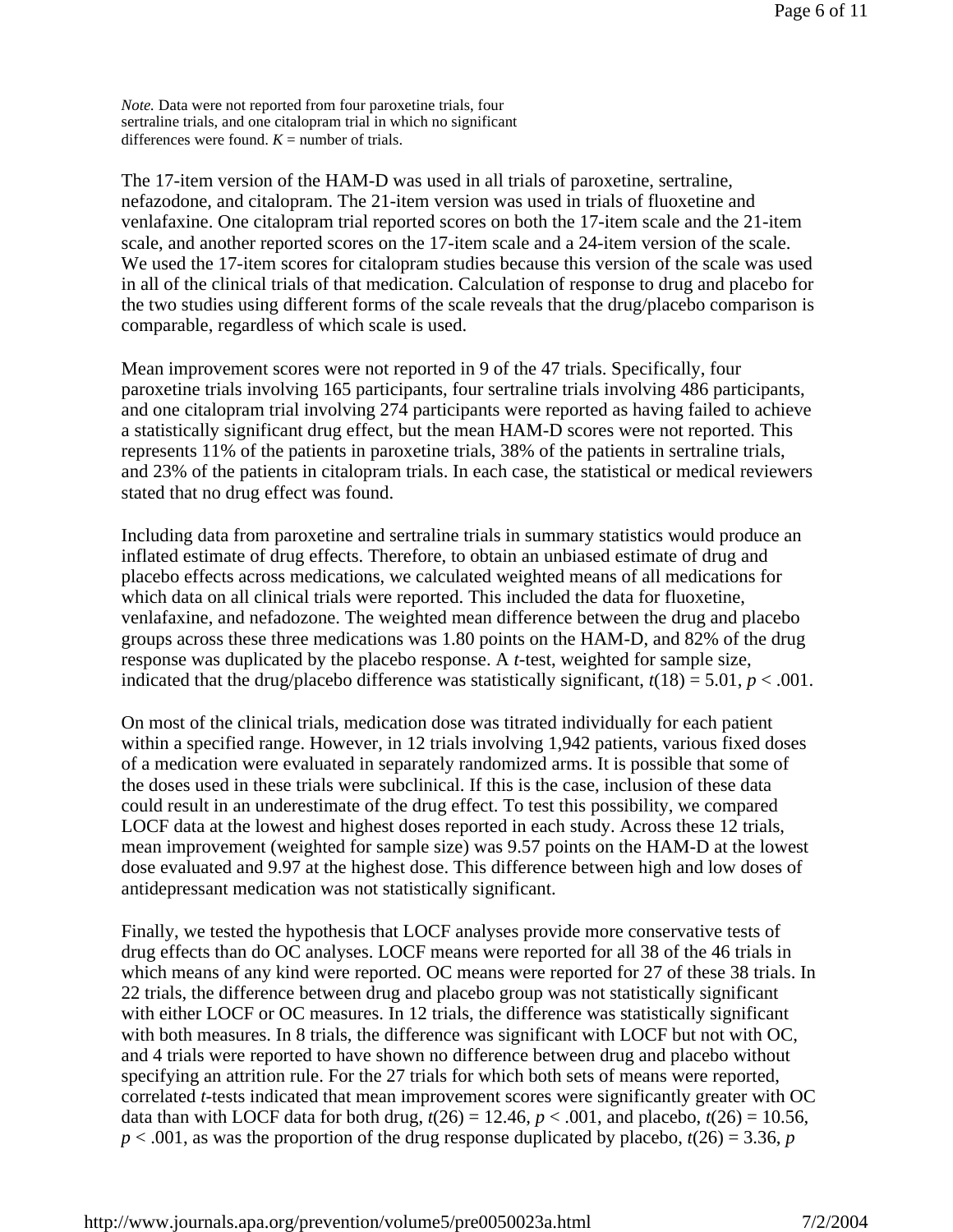*Note.* Data were not reported from four paroxetine trials, four sertraline trials, and one citalopram trial in which no significant differences were found.  $K =$  number of trials.

The 17-item version of the HAM-D was used in all trials of paroxetine, sertraline, nefazodone, and citalopram. The 21-item version was used in trials of fluoxetine and venlafaxine. One citalopram trial reported scores on both the 17-item scale and the 21-item scale, and another reported scores on the 17-item scale and a 24-item version of the scale. We used the 17-item scores for citalopram studies because this version of the scale was used in all of the clinical trials of that medication. Calculation of response to drug and placebo for the two studies using different forms of the scale reveals that the drug/placebo comparison is comparable, regardless of which scale is used.

Mean improvement scores were not reported in 9 of the 47 trials. Specifically, four paroxetine trials involving 165 participants, four sertraline trials involving 486 participants, and one citalopram trial involving 274 participants were reported as having failed to achieve a statistically significant drug effect, but the mean HAM-D scores were not reported. This represents 11% of the patients in paroxetine trials, 38% of the patients in sertraline trials, and 23% of the patients in citalopram trials. In each case, the statistical or medical reviewers stated that no drug effect was found.

Including data from paroxetine and sertraline trials in summary statistics would produce an inflated estimate of drug effects. Therefore, to obtain an unbiased estimate of drug and placebo effects across medications, we calculated weighted means of all medications for which data on all clinical trials were reported. This included the data for fluoxetine, venlafaxine, and nefadozone. The weighted mean difference between the drug and placebo groups across these three medications was 1.80 points on the HAM-D, and 82% of the drug response was duplicated by the placebo response. A *t*-test, weighted for sample size, indicated that the drug/placebo difference was statistically significant,  $t(18) = 5.01$ ,  $p < .001$ .

On most of the clinical trials, medication dose was titrated individually for each patient within a specified range. However, in 12 trials involving 1,942 patients, various fixed doses of a medication were evaluated in separately randomized arms. It is possible that some of the doses used in these trials were subclinical. If this is the case, inclusion of these data could result in an underestimate of the drug effect. To test this possibility, we compared LOCF data at the lowest and highest doses reported in each study. Across these 12 trials, mean improvement (weighted for sample size) was 9.57 points on the HAM-D at the lowest dose evaluated and 9.97 at the highest dose. This difference between high and low doses of antidepressant medication was not statistically significant.

Finally, we tested the hypothesis that LOCF analyses provide more conservative tests of drug effects than do OC analyses. LOCF means were reported for all 38 of the 46 trials in which means of any kind were reported. OC means were reported for 27 of these 38 trials. In 22 trials, the difference between drug and placebo group was not statistically significant with either LOCF or OC measures. In 12 trials, the difference was statistically significant with both measures. In 8 trials, the difference was significant with LOCF but not with OC, and 4 trials were reported to have shown no difference between drug and placebo without specifying an attrition rule. For the 27 trials for which both sets of means were reported, correlated *t*-tests indicated that mean improvement scores were significantly greater with OC data than with LOCF data for both drug,  $t(26) = 12.46$ ,  $p < .001$ , and placebo,  $t(26) = 10.56$ ,  $p < .001$ , as was the proportion of the drug response duplicated by placebo,  $t(26) = 3.36$ , *p*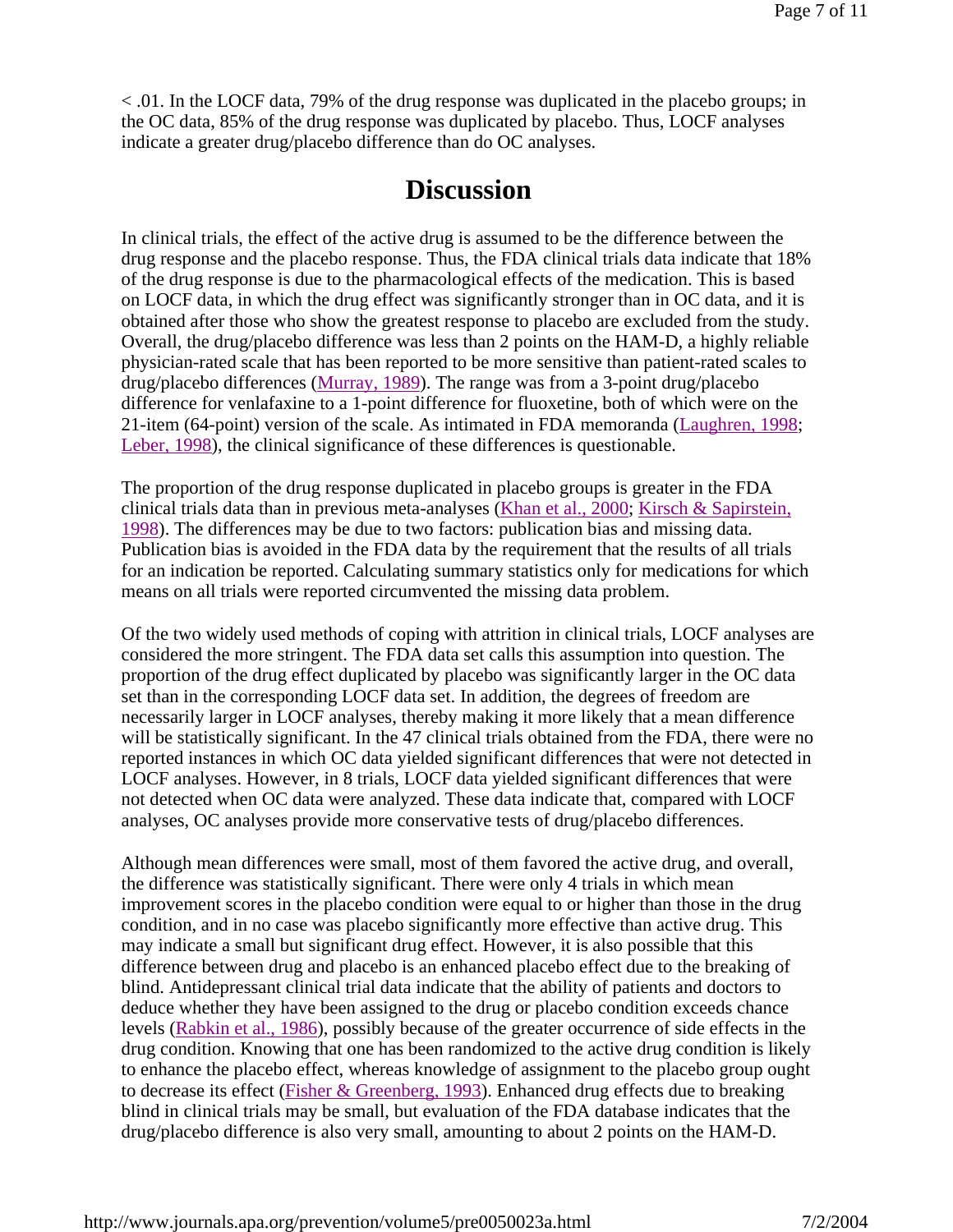< .01. In the LOCF data, 79% of the drug response was duplicated in the placebo groups; in the OC data, 85% of the drug response was duplicated by placebo. Thus, LOCF analyses indicate a greater drug/placebo difference than do OC analyses.

#### **Discussion**

In clinical trials, the effect of the active drug is assumed to be the difference between the drug response and the placebo response. Thus, the FDA clinical trials data indicate that 18% of the drug response is due to the pharmacological effects of the medication. This is based on LOCF data, in which the drug effect was significantly stronger than in OC data, and it is obtained after those who show the greatest response to placebo are excluded from the study. Overall, the drug/placebo difference was less than 2 points on the HAM-D, a highly reliable physician-rated scale that has been reported to be more sensitive than patient-rated scales to drug/placebo differences (Murray, 1989). The range was from a 3-point drug/placebo difference for venlafaxine to a 1-point difference for fluoxetine, both of which were on the 21-item (64-point) version of the scale. As intimated in FDA memoranda (Laughren, 1998; Leber, 1998), the clinical significance of these differences is questionable.

The proportion of the drug response duplicated in placebo groups is greater in the FDA clinical trials data than in previous meta-analyses (Khan et al., 2000; Kirsch & Sapirstein, 1998). The differences may be due to two factors: publication bias and missing data. Publication bias is avoided in the FDA data by the requirement that the results of all trials for an indication be reported. Calculating summary statistics only for medications for which means on all trials were reported circumvented the missing data problem.

Of the two widely used methods of coping with attrition in clinical trials, LOCF analyses are considered the more stringent. The FDA data set calls this assumption into question. The proportion of the drug effect duplicated by placebo was significantly larger in the OC data set than in the corresponding LOCF data set. In addition, the degrees of freedom are necessarily larger in LOCF analyses, thereby making it more likely that a mean difference will be statistically significant. In the 47 clinical trials obtained from the FDA, there were no reported instances in which OC data yielded significant differences that were not detected in LOCF analyses. However, in 8 trials, LOCF data yielded significant differences that were not detected when OC data were analyzed. These data indicate that, compared with LOCF analyses, OC analyses provide more conservative tests of drug/placebo differences.

Although mean differences were small, most of them favored the active drug, and overall, the difference was statistically significant. There were only 4 trials in which mean improvement scores in the placebo condition were equal to or higher than those in the drug condition, and in no case was placebo significantly more effective than active drug. This may indicate a small but significant drug effect. However, it is also possible that this difference between drug and placebo is an enhanced placebo effect due to the breaking of blind. Antidepressant clinical trial data indicate that the ability of patients and doctors to deduce whether they have been assigned to the drug or placebo condition exceeds chance levels (Rabkin et al., 1986), possibly because of the greater occurrence of side effects in the drug condition. Knowing that one has been randomized to the active drug condition is likely to enhance the placebo effect, whereas knowledge of assignment to the placebo group ought to decrease its effect (Fisher & Greenberg, 1993). Enhanced drug effects due to breaking blind in clinical trials may be small, but evaluation of the FDA database indicates that the drug/placebo difference is also very small, amounting to about 2 points on the HAM-D.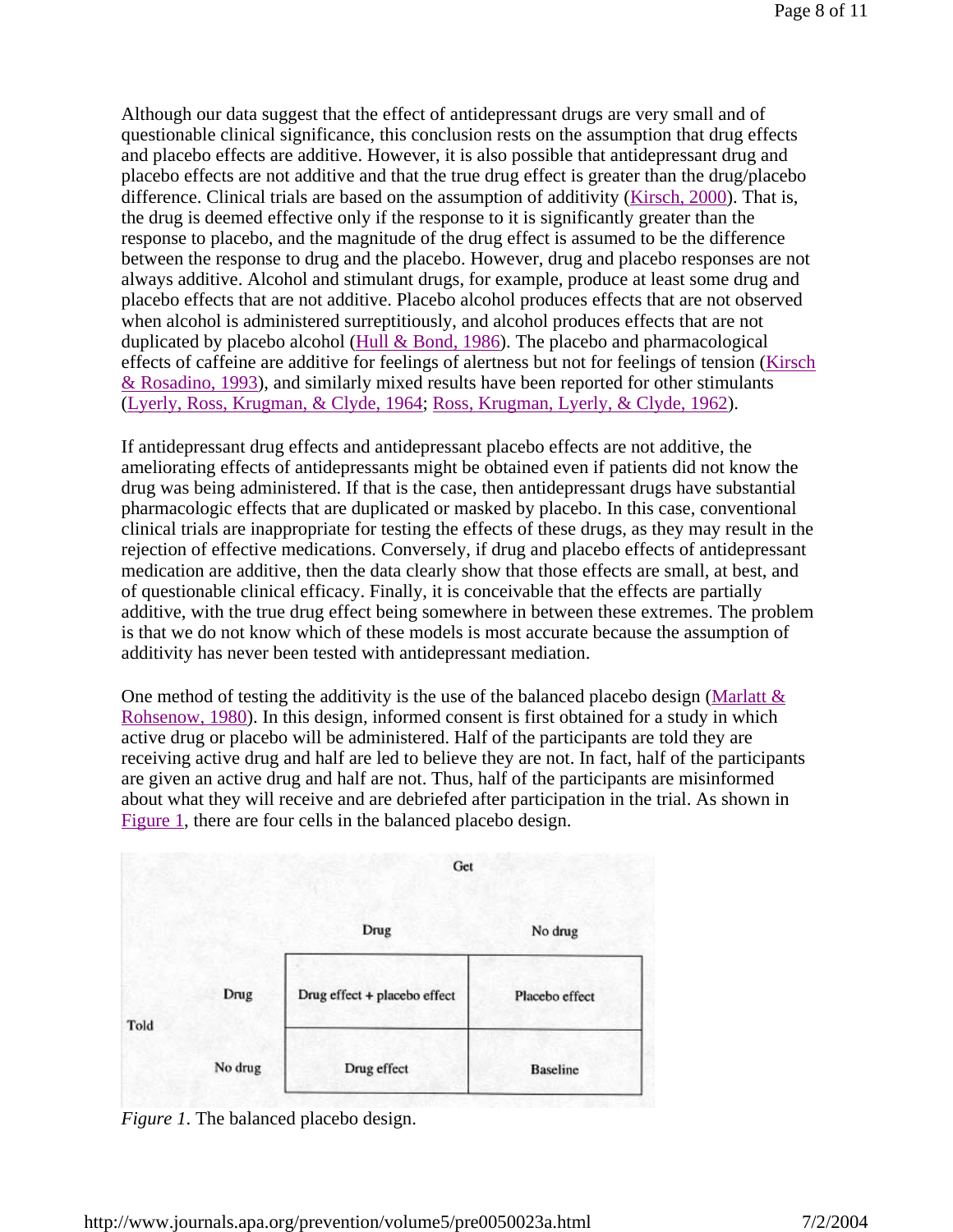Although our data suggest that the effect of antidepressant drugs are very small and of questionable clinical significance, this conclusion rests on the assumption that drug effects and placebo effects are additive. However, it is also possible that antidepressant drug and placebo effects are not additive and that the true drug effect is greater than the drug/placebo difference. Clinical trials are based on the assumption of additivity (Kirsch, 2000). That is, the drug is deemed effective only if the response to it is significantly greater than the response to placebo, and the magnitude of the drug effect is assumed to be the difference between the response to drug and the placebo. However, drug and placebo responses are not always additive. Alcohol and stimulant drugs, for example, produce at least some drug and placebo effects that are not additive. Placebo alcohol produces effects that are not observed when alcohol is administered surreptitiously, and alcohol produces effects that are not duplicated by placebo alcohol ( $Hull & Bond$ , 1986). The placebo and pharmacological effects of caffeine are additive for feelings of alertness but not for feelings of tension (Kirsch & Rosadino, 1993), and similarly mixed results have been reported for other stimulants (Lyerly, Ross, Krugman, & Clyde, 1964; Ross, Krugman, Lyerly, & Clyde, 1962).

If antidepressant drug effects and antidepressant placebo effects are not additive, the ameliorating effects of antidepressants might be obtained even if patients did not know the drug was being administered. If that is the case, then antidepressant drugs have substantial pharmacologic effects that are duplicated or masked by placebo. In this case, conventional clinical trials are inappropriate for testing the effects of these drugs, as they may result in the rejection of effective medications. Conversely, if drug and placebo effects of antidepressant medication are additive, then the data clearly show that those effects are small, at best, and of questionable clinical efficacy. Finally, it is conceivable that the effects are partially additive, with the true drug effect being somewhere in between these extremes. The problem is that we do not know which of these models is most accurate because the assumption of additivity has never been tested with antidepressant mediation.

One method of testing the additivity is the use of the balanced placebo design (Marlatt  $\&$ Rohsenow, 1980). In this design, informed consent is first obtained for a study in which active drug or placebo will be administered. Half of the participants are told they are receiving active drug and half are led to believe they are not. In fact, half of the participants are given an active drug and half are not. Thus, half of the participants are misinformed about what they will receive and are debriefed after participation in the trial. As shown in Figure 1, there are four cells in the balanced placebo design.



*Figure 1*. The balanced placebo design.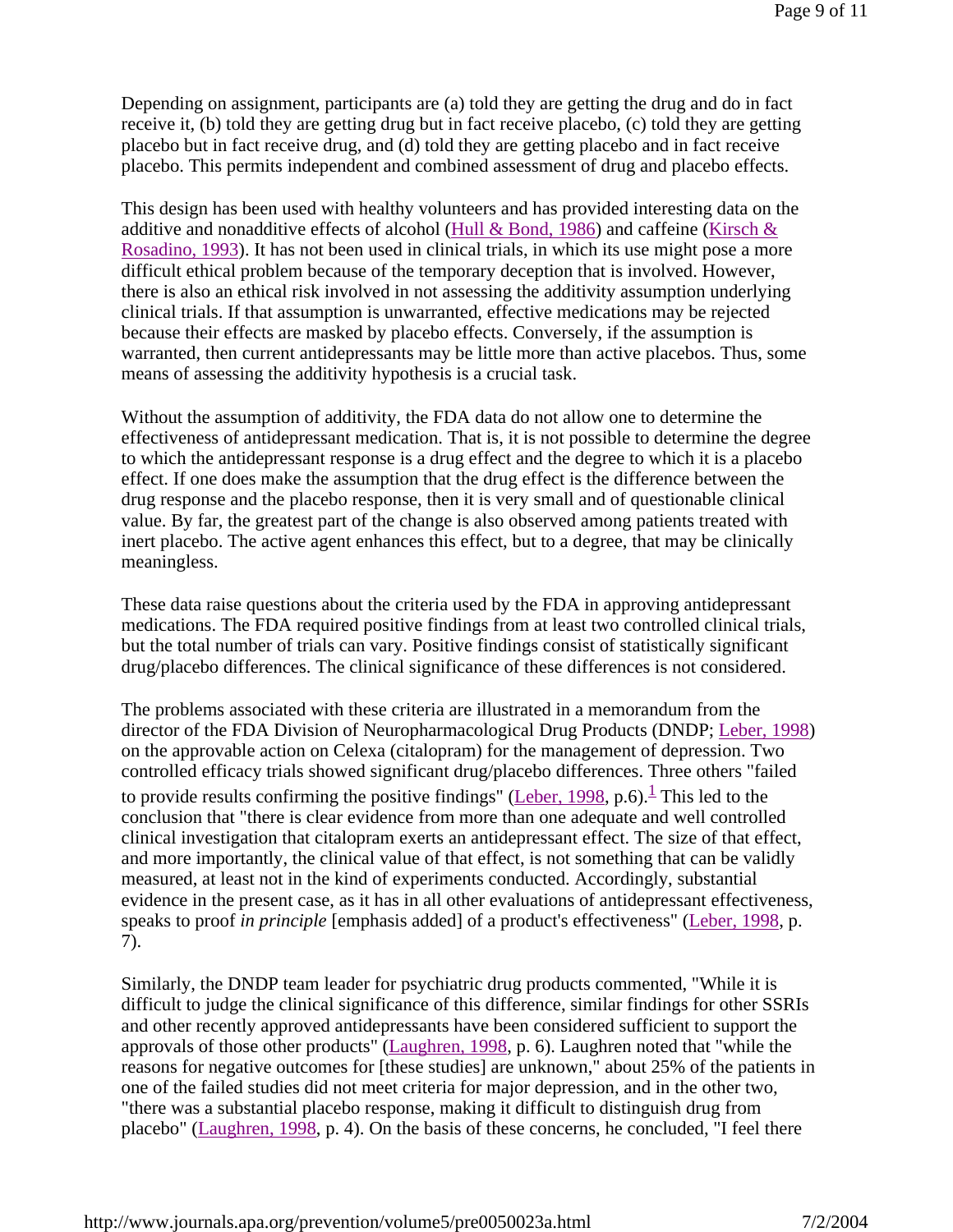Depending on assignment, participants are (a) told they are getting the drug and do in fact receive it, (b) told they are getting drug but in fact receive placebo, (c) told they are getting placebo but in fact receive drug, and (d) told they are getting placebo and in fact receive placebo. This permits independent and combined assessment of drug and placebo effects.

This design has been used with healthy volunteers and has provided interesting data on the additive and nonadditive effects of alcohol (Hull & Bond, 1986) and caffeine (Kirsch & Rosadino, 1993). It has not been used in clinical trials, in which its use might pose a more difficult ethical problem because of the temporary deception that is involved. However, there is also an ethical risk involved in not assessing the additivity assumption underlying clinical trials. If that assumption is unwarranted, effective medications may be rejected because their effects are masked by placebo effects. Conversely, if the assumption is warranted, then current antidepressants may be little more than active placebos. Thus, some means of assessing the additivity hypothesis is a crucial task.

Without the assumption of additivity, the FDA data do not allow one to determine the effectiveness of antidepressant medication. That is, it is not possible to determine the degree to which the antidepressant response is a drug effect and the degree to which it is a placebo effect. If one does make the assumption that the drug effect is the difference between the drug response and the placebo response, then it is very small and of questionable clinical value. By far, the greatest part of the change is also observed among patients treated with inert placebo. The active agent enhances this effect, but to a degree, that may be clinically meaningless.

These data raise questions about the criteria used by the FDA in approving antidepressant medications. The FDA required positive findings from at least two controlled clinical trials, but the total number of trials can vary. Positive findings consist of statistically significant drug/placebo differences. The clinical significance of these differences is not considered.

The problems associated with these criteria are illustrated in a memorandum from the director of the FDA Division of Neuropharmacological Drug Products (DNDP; Leber, 1998) on the approvable action on Celexa (citalopram) for the management of depression. Two controlled efficacy trials showed significant drug/placebo differences. Three others "failed to provide results confirming the positive findings" (Leber,  $1998$ , p.6).<sup>1</sup> This led to the conclusion that "there is clear evidence from more than one adequate and well controlled clinical investigation that citalopram exerts an antidepressant effect. The size of that effect, and more importantly, the clinical value of that effect, is not something that can be validly measured, at least not in the kind of experiments conducted. Accordingly, substantial evidence in the present case, as it has in all other evaluations of antidepressant effectiveness, speaks to proof *in principle* [emphasis added] of a product's effectiveness" (Leber, 1998, p. 7).

Similarly, the DNDP team leader for psychiatric drug products commented, "While it is difficult to judge the clinical significance of this difference, similar findings for other SSRIs and other recently approved antidepressants have been considered sufficient to support the approvals of those other products" (Laughren, 1998, p. 6). Laughren noted that "while the reasons for negative outcomes for [these studies] are unknown," about 25% of the patients in one of the failed studies did not meet criteria for major depression, and in the other two, "there was a substantial placebo response, making it difficult to distinguish drug from placebo" (Laughren, 1998, p. 4). On the basis of these concerns, he concluded, "I feel there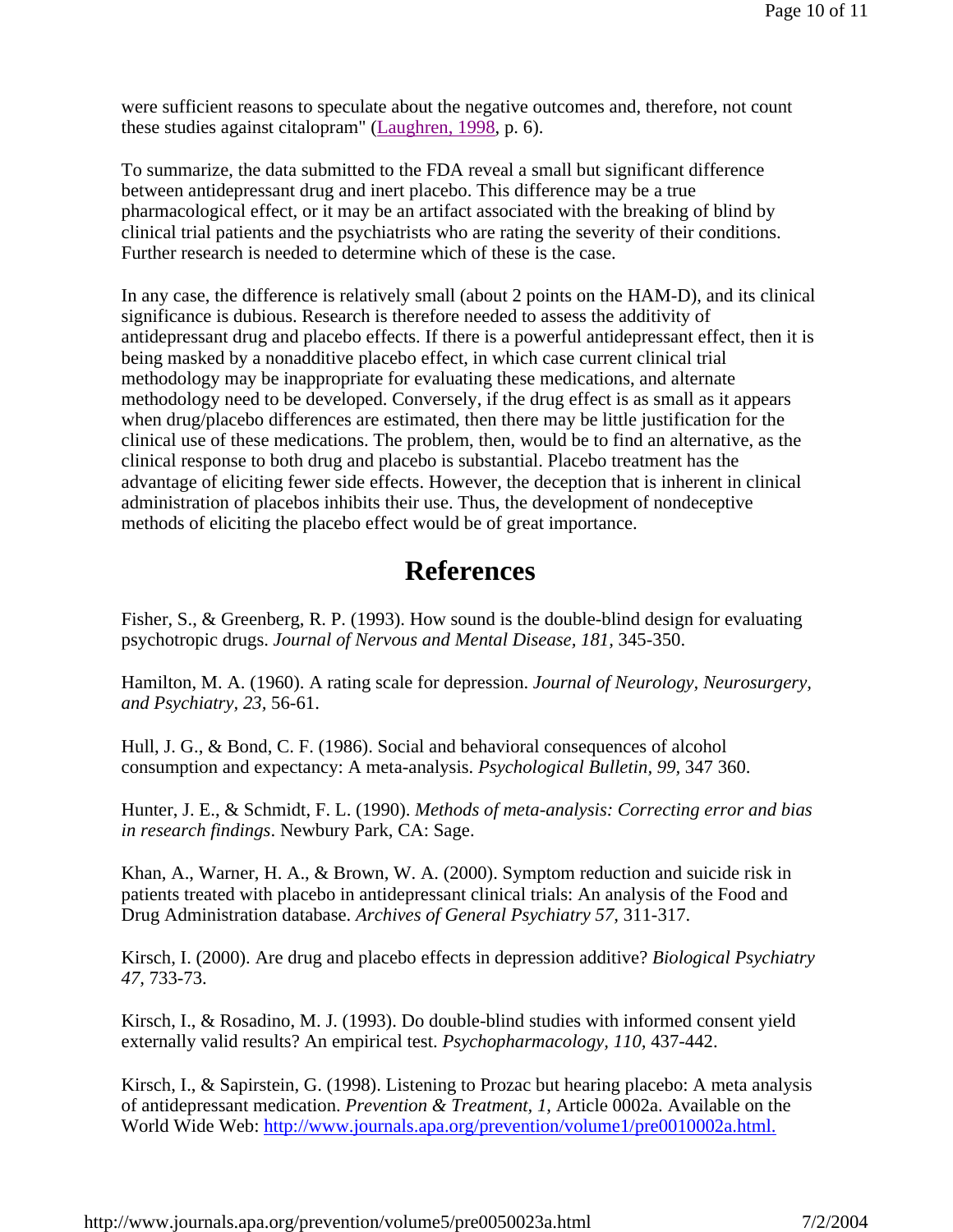were sufficient reasons to speculate about the negative outcomes and, therefore, not count these studies against citalopram" (Laughren, 1998, p. 6).

To summarize, the data submitted to the FDA reveal a small but significant difference between antidepressant drug and inert placebo. This difference may be a true pharmacological effect, or it may be an artifact associated with the breaking of blind by clinical trial patients and the psychiatrists who are rating the severity of their conditions. Further research is needed to determine which of these is the case.

In any case, the difference is relatively small (about 2 points on the HAM-D), and its clinical significance is dubious. Research is therefore needed to assess the additivity of antidepressant drug and placebo effects. If there is a powerful antidepressant effect, then it is being masked by a nonadditive placebo effect, in which case current clinical trial methodology may be inappropriate for evaluating these medications, and alternate methodology need to be developed. Conversely, if the drug effect is as small as it appears when drug/placebo differences are estimated, then there may be little justification for the clinical use of these medications. The problem, then, would be to find an alternative, as the clinical response to both drug and placebo is substantial. Placebo treatment has the advantage of eliciting fewer side effects. However, the deception that is inherent in clinical administration of placebos inhibits their use. Thus, the development of nondeceptive methods of eliciting the placebo effect would be of great importance.

#### **References**

Fisher, S., & Greenberg, R. P. (1993). How sound is the double-blind design for evaluating psychotropic drugs. *Journal of Nervous and Mental Disease, 181,* 345-350.

Hamilton, M. A. (1960). A rating scale for depression. *Journal of Neurology, Neurosurgery, and Psychiatry, 23,* 56-61.

Hull, J. G., & Bond, C. F. (1986). Social and behavioral consequences of alcohol consumption and expectancy: A meta-analysis. *Psychological Bulletin, 99,* 347 360.

Hunter, J. E., & Schmidt, F. L. (1990). *Methods of meta-analysis: Correcting error and bias in research findings*. Newbury Park, CA: Sage.

Khan, A., Warner, H. A., & Brown, W. A. (2000). Symptom reduction and suicide risk in patients treated with placebo in antidepressant clinical trials: An analysis of the Food and Drug Administration database. *Archives of General Psychiatry 57,* 311-317.

Kirsch, I. (2000). Are drug and placebo effects in depression additive? *Biological Psychiatry 47,* 733-73.

Kirsch, I., & Rosadino, M. J. (1993). Do double-blind studies with informed consent yield externally valid results? An empirical test. *Psychopharmacology, 110,* 437-442.

Kirsch, I., & Sapirstein, G. (1998). Listening to Prozac but hearing placebo: A meta analysis of antidepressant medication. *Prevention & Treatment, 1,* Article 0002a. Available on the World Wide Web: http://www.journals.apa.org/prevention/volume1/pre0010002a.html.